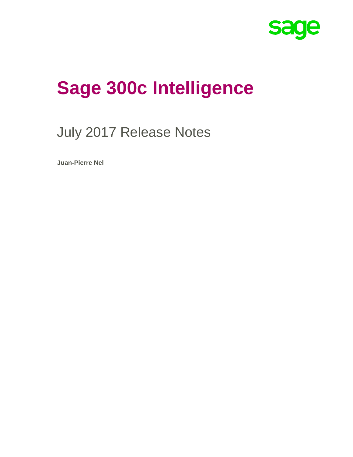

# **Sage 300c Intelligence**

## July 2017 Release Notes

**Juan-Pierre Nel**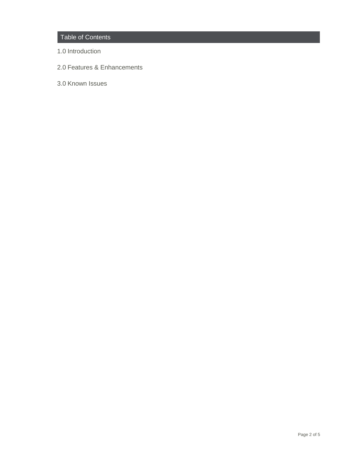#### Table of Contents

- 1.0 Introduction
- 2.0 Features & Enhancements
- 3.0 Known Issues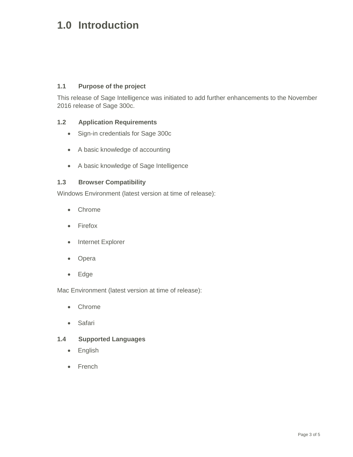## **1.0 Introduction**

#### **1.1 Purpose of the project**

This release of Sage Intelligence was initiated to add further enhancements to the November 2016 release of Sage 300c.

#### **1.2 Application Requirements**

- Sign-in credentials for Sage 300c
- A basic knowledge of accounting
- A basic knowledge of Sage Intelligence

#### **1.3 Browser Compatibility**

Windows Environment (latest version at time of release):

- Chrome
- Firefox
- Internet Explorer
- Opera
- Edge

Mac Environment (latest version at time of release):

- Chrome
- Safari

#### **1.4 Supported Languages**

- English
- French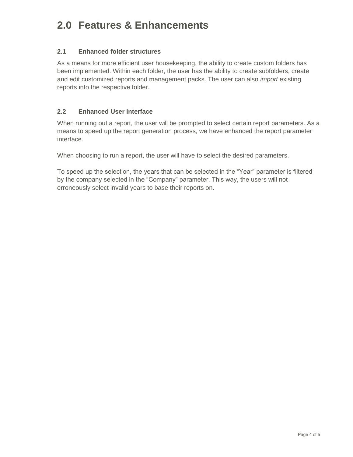## **2.0 Features & Enhancements**

#### **2.1 Enhanced folder structures**

As a means for more efficient user housekeeping, the ability to create custom folders has been implemented. Within each folder, the user has the ability to create subfolders, create and edit customized reports and management packs. The user can also *import* existing reports into the respective folder.

#### **2.2 Enhanced User Interface**

When running out a report, the user will be prompted to select certain report parameters. As a means to speed up the report generation process, we have enhanced the report parameter interface.

When choosing to run a report, the user will have to select the desired parameters.

To speed up the selection, the years that can be selected in the "Year" parameter is filtered by the company selected in the "Company" parameter. This way, the users will not erroneously select invalid years to base their reports on.